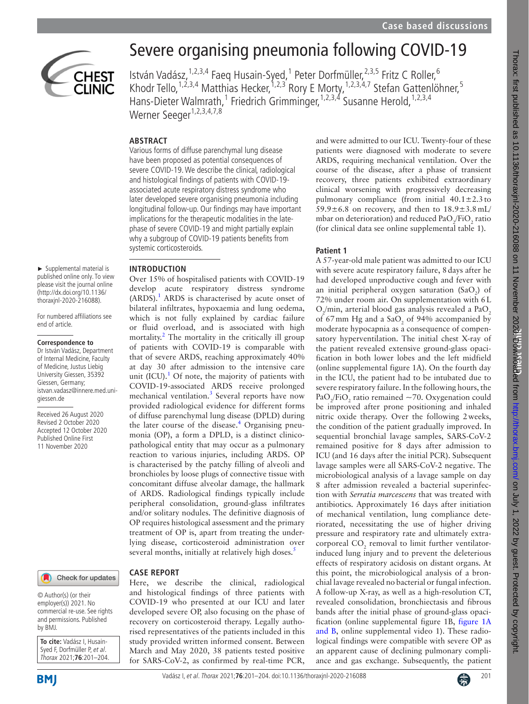

► Supplemental material is published online only. To view please visit the journal online (http://dx.doi.org/10.1136/ thoraxjnl-2020-216088). For numbered affiliations see

end of article.

giessen.de

**Correspondence to** Dr István Vadász, Department of Internal Medicine, Faculty of Medicine, Justus Liebig University Giessen, 35392 Giessen, Germany; istvan.vadasz@innere.med.uni-

Received 26 August 2020 Revised 2 October 2020 Accepted 12 October 2020 Published Online First 11 November 2020

# Severe organising pneumonia following COVID-19

István Vadász, <sup>1,2,3,4</sup> Faeq Husain-Syed, <sup>1</sup> Peter Dorfmüller, <sup>2,3,5</sup> Fritz C Roller, <sup>6</sup> Khodr Tello,<sup>1,2,3,4</sup> Matthias Hecker,<sup>1,2,3</sup> Rory E Morty,<sup>1,2,3,4,7</sup> Stefan Gattenlöhner,<sup>5</sup> Hans-Dieter Walmrath,<sup>1</sup> Friedrich Grimminger,<sup>1,2,3,4</sup> Susanne Herold,<sup>1,2,3,4</sup> Werner Seeger<sup>1,2,3,4,7,8</sup>

### **ABSTRACT**

Various forms of diffuse parenchymal lung disease have been proposed as potential consequences of severe COVID-19. We describe the clinical, radiological and histological findings of patients with COVID-19 associated acute respiratory distress syndrome who later developed severe organising pneumonia including longitudinal follow-up. Our findings may have important implications for the therapeutic modalities in the latephase of severe COVID-19 and might partially explain why a subgroup of COVID-19 patients benefits from systemic corticosteroids.

**INTRODUCTION**

Over 15% of hospitalised patients with COVID-19 develop acute respiratory distress syndrome  $(ARDS).$ <sup>[1](#page-2-0)</sup> ARDS is characterised by acute onset of bilateral infiltrates, hypoxaemia and lung oedema, which is not fully explained by cardiac failure or fluid overload, and is associated with high mortality.<sup>[2](#page-3-0)</sup> The mortality in the critically ill group of patients with COVID-19 is comparable with that of severe ARDS, reaching approximately 40% at day 30 after admission to the intensive care unit (ICU). $<sup>1</sup>$  $<sup>1</sup>$  $<sup>1</sup>$  Of note, the majority of patients with</sup> COVID-19-associated ARDS receive prolonged mechanical ventilation.<sup>3</sup> Several reports have now provided radiological evidence for different forms of diffuse parenchymal lung disease (DPLD) during the later course of the disease.<sup>4</sup> Organising pneumonia (OP), a form a DPLD, is a distinct clinicopathological entity that may occur as a pulmonary reaction to various injuries, including ARDS. OP is characterised by the patchy filling of alveoli and bronchioles by loose plugs of connective tissue with concomitant diffuse alveolar damage, the hallmark of ARDS. Radiological findings typically include peripheral consolidation, ground-glass infiltrates and/or solitary nodules. The definitive diagnosis of OP requires histological assessment and the primary treatment of OP is, apart from treating the underlying disease, corticosteroid administration over several months, initially at relatively high doses.<sup>5</sup>

Check for updates

© Author(s) (or their employer(s)) 2021. No commercial re-use. See rights and permissions. Published by BMJ.

**To cite:** Vadász I, Husain-Syed F, Dorfmüller P, et al. Thorax 2021;**76**:201–204.

**BMI** 

## **CASE REPORT**

Here, we describe the clinical, radiological and histological findings of three patients with COVID-19 who presented at our ICU and later developed severe OP, also focusing on the phase of recovery on corticosteroid therapy. Legally authorised representatives of the patients included in this study provided written informed consent. Between March and May 2020, 38 patients tested positive for SARS-CoV-2, as confirmed by real-time PCR,

and were admitted to our ICU. Twenty-four of these patients were diagnosed with moderate to severe ARDS, requiring mechanical ventilation. Over the course of the disease, after a phase of transient recovery, three patients exhibited extraordinary clinical worsening with progressively decreasing pulmonary compliance (from initial  $40.1 \pm 2.3$  to 59.9 $\pm$ 6.8 on recovery, and then to  $18.9\pm3.8$  mL/ mbar on deterioration) and reduced  $PaO_2/FiO_2$  ratio (for clinical data see [online supplemental table 1\)](https://dx.doi.org/10.1136/thoraxjnl-2020-216088).

#### **Patient 1**

A 57-year-old male patient was admitted to our ICU with severe acute respiratory failure, 8days after he had developed unproductive cough and fever with an initial peripheral oxygen saturation  $(SaO<sub>2</sub>)$  of 72% under room air. On supplementation with 6L  $O_2$ /min, arterial blood gas analysis revealed a Pa $O_2$ of 67 mm Hg and a  $SaO_2$  of 94% accompanied by moderate hypocapnia as a consequence of compensatory hyperventilation. The initial chest X-ray of the patient revealed extensive ground-glass opacification in both lower lobes and the left midfield ([online supplemental figure 1A](https://dx.doi.org/10.1136/thoraxjnl-2020-216088)). On the fourth day in the ICU, the patient had to be intubated due to severe respiratory failure. In the following hours, the  $PaO_2/FiO_2$  ratio remained ~70. Oxygenation could be improved after prone positioning and inhaled nitric oxide therapy. Over the following 2weeks, the condition of the patient gradually improved. In sequential bronchial lavage samples, SARS-CoV-2 remained positive for 8 days after admission to ICU (and 16 days after the initial PCR). Subsequent lavage samples were all SARS-CoV-2 negative. The microbiological analysis of a lavage sample on day 8 after admission revealed a bacterial superinfection with *Serratia marcescens* that was treated with antibiotics. Approximately 16 days after initiation of mechanical ventilation, lung compliance deteriorated, necessitating the use of higher driving pressure and respiratory rate and ultimately extracorporeal  $CO_2$  removal to limit further ventilatorinduced lung injury and to prevent the deleterious effects of respiratory acidosis on distant organs. At this point, the microbiological analysis of a bronchial lavage revealed no bacterial or fungal infection. A follow-up X-ray, as well as a high-resolution CT, revealed consolidation, bronchiectasis and fibrous bands after the initial phase of ground-glass opacification [\(online supplemental figure 1B](https://dx.doi.org/10.1136/thoraxjnl-2020-216088), [figure](#page-1-0) 1A [and B,](#page-1-0) [online supplemental video 1](https://dx.doi.org/10.1136/thoraxjnl-2020-216088)). These radiological findings were compatible with severe OP as an apparent cause of declining pulmonary compliance and gas exchange. Subsequently, the patient

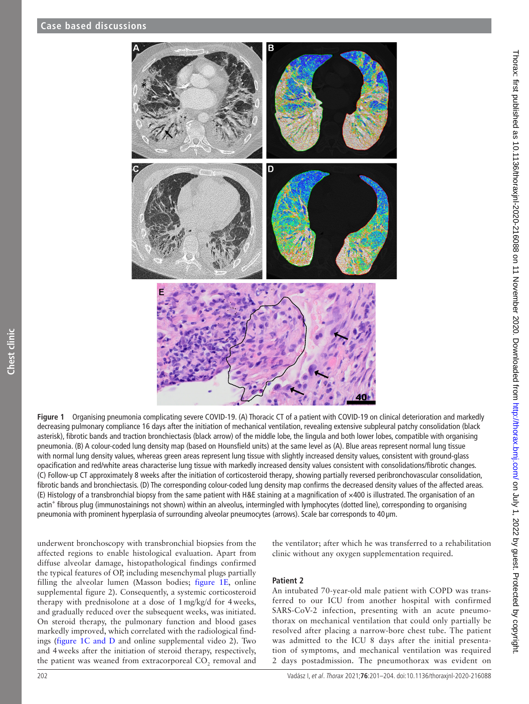

**Figure 1** Organising pneumonia complicating severe COVID-19. (A) Thoracic CT of a patient with COVID-19 on clinical deterioration and markedly decreasing pulmonary compliance 16 days after the initiation of mechanical ventilation, revealing extensive subpleural patchy consolidation (black asterisk), fibrotic bands and traction bronchiectasis (black arrow) of the middle lobe, the lingula and both lower lobes, compatible with organising pneumonia. (B) A colour-coded lung density map (based on Hounsfield units) at the same level as (A). Blue areas represent normal lung tissue with normal lung density values, whereas green areas represent lung tissue with slightly increased density values, consistent with ground-glass opacification and red/white areas characterise lung tissue with markedly increased density values consistent with consolidations/fibrotic changes. (C) Follow-up CT approximately 8 weeks after the initiation of corticosteroid therapy, showing partially reversed peribronchovascular consolidation, fibrotic bands and bronchiectasis. (D) The corresponding colour-coded lung density map confirms the decreased density values of the affected areas. (E) Histology of a transbronchial biopsy from the same patient with H&E staining at a magnification of ×400 is illustrated. The organisation of an actin<sup>+</sup> fibrous plug (immunostainings not shown) within an alveolus, intermingled with lymphocytes (dotted line), corresponding to organising pneumonia with prominent hyperplasia of surrounding alveolar pneumocytes (arrows). Scale bar corresponds to 40 µm.

underwent bronchoscopy with transbronchial biopsies from the affected regions to enable histological evaluation. Apart from diffuse alveolar damage, histopathological findings confirmed the typical features of OP, including mesenchymal plugs partially filling the alveolar lumen (Masson bodies; [figure](#page-1-0) 1E, [online](https://dx.doi.org/10.1136/thoraxjnl-2020-216088)  [supplemental figure 2\)](https://dx.doi.org/10.1136/thoraxjnl-2020-216088). Consequently, a systemic corticosteroid therapy with prednisolone at a dose of 1mg/kg/d for 4weeks, and gradually reduced over the subsequent weeks, was initiated. On steroid therapy, the pulmonary function and blood gases markedly improved, which correlated with the radiological findings (figure [1C and D](#page-1-0) and [online supplemental video 2](https://dx.doi.org/10.1136/thoraxjnl-2020-216088)). Two and 4weeks after the initiation of steroid therapy, respectively, the patient was weaned from extracorporeal  $\mathrm{CO}_2$  removal and <span id="page-1-0"></span>the ventilator; after which he was transferred to a rehabilitation clinic without any oxygen supplementation required.

#### **Patient 2**

An intubated 70-year-old male patient with COPD was transferred to our ICU from another hospital with confirmed SARS-CoV-2 infection, presenting with an acute pneumothorax on mechanical ventilation that could only partially be resolved after placing a narrow-bore chest tube. The patient was admitted to the ICU 8 days after the initial presentation of symptoms, and mechanical ventilation was required 2 days postadmission. The pneumothorax was evident on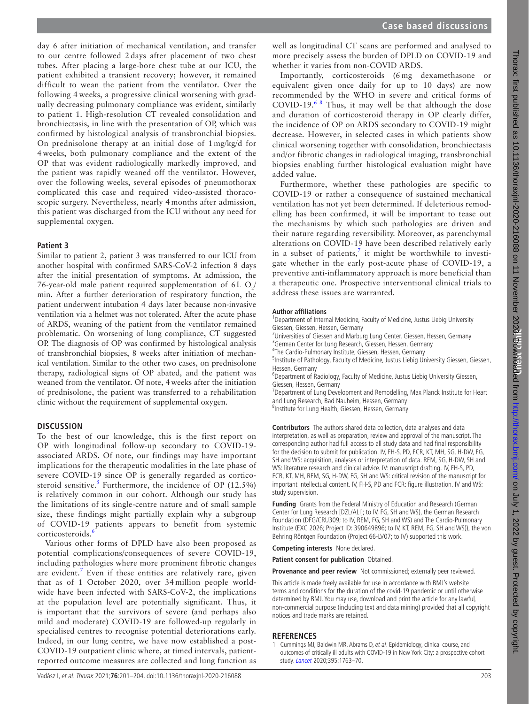day 6 after initiation of mechanical ventilation, and transfer to our centre followed 2 days after placement of two chest tubes. After placing a large-bore chest tube at our ICU, the patient exhibited a transient recovery; however, it remained difficult to wean the patient from the ventilator. Over the following 4 weeks, a progressive clinical worsening with gradually decreasing pulmonary compliance was evident, similarly to patient 1. High-resolution CT revealed consolidation and bronchiectasis, in line with the presentation of OP, which was confirmed by histological analysis of transbronchial biopsies. On prednisolone therapy at an initial dose of 1 mg/kg/d for 4 weeks, both pulmonary compliance and the extent of the OP that was evident radiologically markedly improved, and the patient was rapidly weaned off the ventilator. However, over the following weeks, several episodes of pneumothorax complicated this case and required video-assisted thoracoscopic surgery. Nevertheless, nearly 4 months after admission, this patient was discharged from the ICU without any need for supplemental oxygen.

#### **Patient 3**

Similar to patient 2, patient 3 was transferred to our ICU from another hospital with confirmed SARS-CoV-2 infection 8 days after the initial presentation of symptoms. At admission, the 76-year-old male patient required supplementation of 6L  $O_2/$ min. After a further deterioration of respiratory function, the patient underwent intubation 4 days later because non-invasive ventilation via a helmet was not tolerated. After the acute phase of ARDS, weaning of the patient from the ventilator remained problematic. On worsening of lung compliance, CT suggested OP. The diagnosis of OP was confirmed by histological analysis of transbronchial biopsies, 8 weeks after initiation of mechanical ventilation. Similar to the other two cases, on prednisolone therapy, radiological signs of OP abated, and the patient was weaned from the ventilator. Of note, 4weeks after the initiation of prednisolone, the patient was transferred to a rehabilitation clinic without the requirement of supplemental oxygen.

#### **DISCUSSION**

To the best of our knowledge, this is the first report on OP with longitudinal follow-up secondary to COVID-19 associated ARDS. Of note, our findings may have important implications for the therapeutic modalities in the late phase of severe COVID-19 since OP is generally regarded as cortico-steroid sensitive.<sup>[5](#page-3-3)</sup> Furthermore, the incidence of OP  $(12.5\%)$ is relatively common in our cohort. Although our study has the limitations of its single-centre nature and of small sample size, these findings might partially explain why a subgroup of COVID-19 patients appears to benefit from systemic corticosteroids.<sup>[6](#page-3-4)</sup>

Various other forms of DPLD have also been proposed as potential complications/consequences of severe COVID-19, including pathologies where more prominent fibrotic changes are evident.<sup>[7](#page-3-5)</sup> Even if these entities are relatively rare, given that as of 1 October 2020, over 34 million people worldwide have been infected with SARS-CoV-2, the implications at the population level are potentially significant. Thus, it is important that the survivors of severe (and perhaps also mild and moderate) COVID-19 are followed-up regularly in specialised centres to recognise potential deteriorations early. Indeed, in our lung centre, we have now established a post-COVID-19 outpatient clinic where, at timed intervals, patientreported outcome measures are collected and lung function as

well as longitudinal CT scans are performed and analysed to more precisely assess the burden of DPLD on COVID-19 and whether it varies from non-COVID ARDS.

Importantly, corticosteroids (6 mg dexamethasone or equivalent given once daily for up to 10 days) are now recommended by the WHO in severe and critical forms of COVID-19.[6 8](#page-3-4) Thus, it may well be that although the dose and duration of corticosteroid therapy in OP clearly differ, the incidence of OP on ARDS secondary to COVID-19 might decrease. However, in selected cases in which patients show clinical worsening together with consolidation, bronchiectasis and/or fibrotic changes in radiological imaging, transbronchial biopsies enabling further histological evaluation might have added value.

Furthermore, whether these pathologies are specific to COVID-19 or rather a consequence of sustained mechanical ventilation has not yet been determined. If deleterious remodelling has been confirmed, it will be important to tease out the mechanisms by which such pathologies are driven and their nature regarding reversibility. Moreover, as parenchymal alterations on COVID-19 have been described relatively early in a subset of patients,<sup>[7](#page-3-5)</sup> it might be worthwhile to investigate whether in the early post-acute phase of COVID-19, a preventive anti-inflammatory approach is more beneficial than a therapeutic one. Prospective interventional clinical trials to address these issues are warranted.

#### **Author affiliations**

<sup>1</sup>Department of Internal Medicine, Faculty of Medicine, Justus Liebig University Giessen, Giessen, Hessen, Germany

<sup>2</sup>Universities of Giessen and Marburg Lung Center, Giessen, Hessen, Germany <sup>3</sup>German Center for Lung Research, Giessen, Hessen, Germany

<sup>4</sup>The Cardio-Pulmonary Institute, Giessen, Hessen, Germany<br><sup>5</sup>Institute of Pathology, Faculty of Medicine, Justus Liphia U

<sup>5</sup>Institute of Pathology, Faculty of Medicine, Justus Liebig University Giessen, Giessen, Hessen, Germany

<sup>6</sup>Department of Radiology, Faculty of Medicine, Justus Liebig University Giessen, Giessen, Hessen, Germany

<sup>7</sup>Department of Lung Development and Remodelling, Max Planck Institute for Heart and Lung Research, Bad Nauheim, Hessen, Germany

<sup>8</sup>Institute for Lung Health, Giessen, Hessen, Germany

**Contributors** The authors shared data collection, data analyses and data interpretation, as well as preparation, review and approval of the manuscript. The corresponding author had full access to all study data and had final responsibility for the decision to submit for publication. IV, FH-S, PD, FCR, KT, MH, SG, H-DW, FG, SH and WS: acquisition, analyses or interpretation of data. REM, SG, H-DW, SH and WS: literature research and clinical advice. IV: manuscript drafting. IV, FH-S, PD, FCR, KT, MH, REM, SG, H-DW, FG, SH and WS: critical revision of the manuscript for important intellectual content. IV, FH-S, PD and FCR: figure illustration. IV and WS: study supervision.

**Funding** Grants from the Federal Ministry of Education and Research (German Center for Lung Research [DZL/ALI]; to IV, FG, SH and WS), the German Research Foundation (DFG/CRU309; to IV, REM, FG, SH and WS) and The Cardio-Pulmonary Institute (EXC 2026; Project ID: 390649896; to IV, KT, REM, FG, SH and WS)), the von Behring Röntgen Foundation (Project 66-LV07; to IV) supported this work.

**Competing interests** None declared.

**Patient consent for publication** Obtained.

**Provenance and peer review** Not commissioned; externally peer reviewed.

This article is made freely available for use in accordance with BMJ's website terms and conditions for the duration of the covid-19 pandemic or until otherwise determined by BMJ. You may use, download and print the article for any lawful, non-commercial purpose (including text and data mining) provided that all copyright notices and trade marks are retained.

#### **REFERENCES**

<span id="page-2-0"></span>1 Cummings MJ, Baldwin MR, Abrams D, et al. Epidemiology, clinical course, and outcomes of critically ill adults with COVID-19 in New York City: a prospective cohort study. [Lancet](http://dx.doi.org/10.1016/S0140-6736(20)31189-2) 2020;395:1763–70.